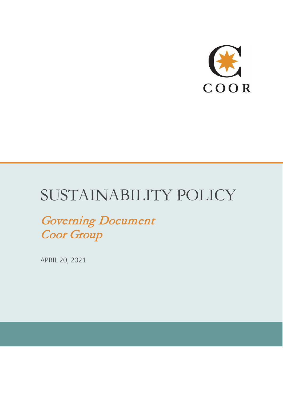

# SUSTAINABILITY POLICY

Governing Document Coor Group

APRIL 20, 2021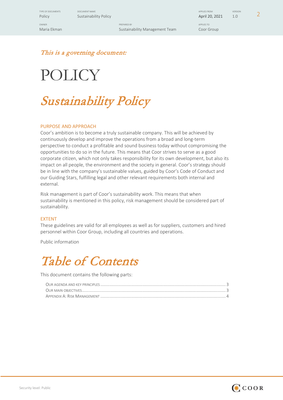TYPE OF DOCUMENTS ON DOCUMENT NAME APPLIES FROM THE SERION OF THE SERION OF THE SERION OF THE SERION OF THE SERION

OWNER PREPARED BY APPLIES TO Maria Ekman Coor Group Coor Group Sustainability Management Team Coor Group

POLICY SUSTAINS BULGUMENT NAME<br>Policy Sustainability Policy April 20, 2021 1.0 2

This is a governing document:

# POLICY

Sustainability Policy

### PURPOSE AND APPROACH

Coor's ambition is to become a truly sustainable company. This will be achieved by continuously develop and improve the operations from a broad and long-term perspective to conduct a profitable and sound business today without compromising the opportunities to do so in the future. This means that Coor strives to serve as a good corporate citizen, which not only takes responsibility for its own development, but also its impact on all people, the environment and the society in general. Coor's strategy should be in line with the company's sustainable values, guided by Coor's Code of Conduct and our Guiding Stars, fulfilling legal and other relevant requirements both internal and external.

Risk management is part of Coor's sustainability work. This means that when sustainability is mentioned in this policy, risk management should be considered part of sustainability.

### EXTENT

These guidelines are valid for all employees as well as for suppliers, customers and hired personnel within Coor Group, including all countries and operations.

Public information

## Table of Contents

This document contains the following parts: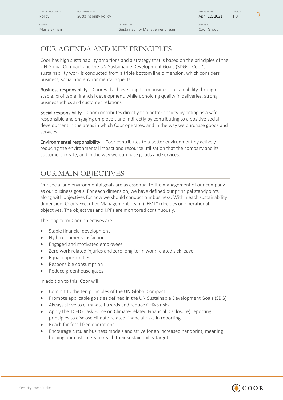TYPE OF DOCUMENTS ON DOCUMENT NAME APPLIES FROM THE SERION OF THE SERION OF THE SERION OF THE SERION OF THE SERION

OWNER PREPARED BY APPLIES TO Maria Ekman Coor Group Coor Group Sustainability Management Team Coor Group

## <span id="page-2-0"></span>OUR AGENDA AND KEY PRINCIPLES

Coor has high sustainability ambitions and a strategy that is based on the principles of the UN Global Compact and the UN Sustainable Development Goals (SDGs). Coor's sustainability work is conducted from a triple bottom line dimension, which considers business, social and environmental aspects:

Business responsibility - Coor will achieve long-term business sustainability through stable, profitable financial development, while upholding quality in deliveries, strong business ethics and customer relations

Social responsibility – Coor contributes directly to a better society by acting as a safe, responsible and engaging employer, and indirectly by contributing to a positive social development in the areas in which Coor operates, and in the way we purchase goods and services.

Environmental responsibility – Coor contributes to a better environment by actively reducing the environmental impact and resource utilization that the company and its customers create, and in the way we purchase goods and services.

### <span id="page-2-1"></span>OUR MAIN OBJECTIVES

Our social and environmental goals are as essential to the management of our company as our business goals. For each dimension, we have defined our principal standpoints along with objectives for how we should conduct our business. Within each sustainability dimension, Coor's Executive Management Team ("EMT") decides on operational objectives. The objectives and KPI's are monitored continuously.

The long-term Coor objectives are:

- Stable financial development
- High customer satisfaction
- Engaged and motivated employees
- Zero work related injuries and zero long-term work related sick leave
- Equal opportunities
- Responsible consumption
- Reduce greenhouse gases

In addition to this, Coor will:

- Commit to the ten principles of the UN Global Compact
- Promote applicable goals as defined in the UN Sustainable Development Goals (SDG)
- Always strive to eliminate hazards and reduce OH&S risks
- Apply the TCFD (Task Force on Climate-related Financial Disclosure) reporting principles to disclose climate related financial risks in reporting
- Reach for fossil free operations
- Encourage circular business models and strive for an increased handprint, meaning helping our customers to reach their sustainability targets